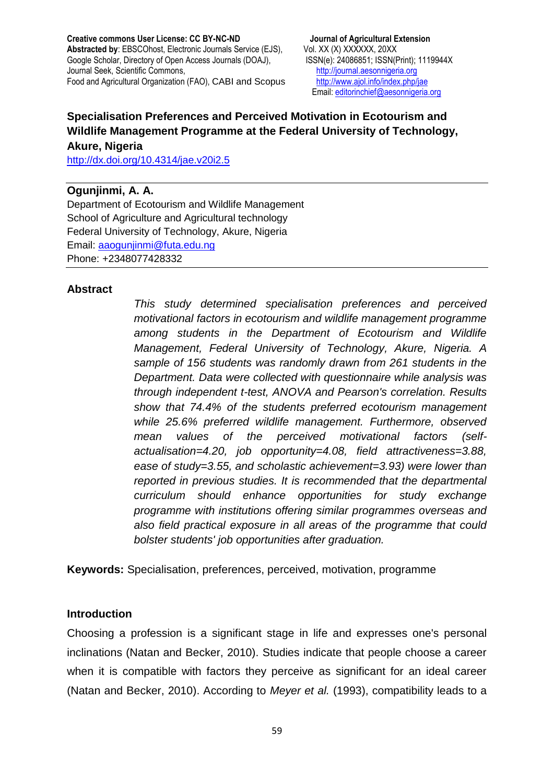Email[: editorinchief@aesonnigeria.org](mailto:editorinchief@aesonnigeria.org)

# **Specialisation Preferences and Perceived Motivation in Ecotourism and Wildlife Management Programme at the Federal University of Technology,**

**Akure, Nigeria**  <http://dx.doi.org/10.4314/jae.v20i2.5>

## **Ogunjinmi, A. A.**

Department of Ecotourism and Wildlife Management School of Agriculture and Agricultural technology Federal University of Technology, Akure, Nigeria Email: [aaogunjinmi@futa.edu.ng](mailto:aaogunjinmi@futa.edu.ng) Phone: +2348077428332

### **Abstract**

*This study determined specialisation preferences and perceived motivational factors in ecotourism and wildlife management programme among students in the Department of Ecotourism and Wildlife Management, Federal University of Technology, Akure, Nigeria. A sample of 156 students was randomly drawn from 261 students in the Department. Data were collected with questionnaire while analysis was through independent t-test, ANOVA and Pearson's correlation. Results show that 74.4% of the students preferred ecotourism management while 25.6% preferred wildlife management. Furthermore, observed mean values of the perceived motivational factors (selfactualisation=4.20, job opportunity=4.08, field attractiveness=3.88, ease of study=3.55, and scholastic achievement=3.93) were lower than reported in previous studies. It is recommended that the departmental curriculum should enhance opportunities for study exchange programme with institutions offering similar programmes overseas and also field practical exposure in all areas of the programme that could bolster students' job opportunities after graduation.*

**Keywords:** Specialisation, preferences, perceived, motivation, programme

### **Introduction**

Choosing a profession is a significant stage in life and expresses one's personal inclinations (Natan and Becker, 2010). Studies indicate that people choose a career when it is compatible with factors they perceive as significant for an ideal career (Natan and Becker, 2010). According to *Meyer et al.* (1993), compatibility leads to a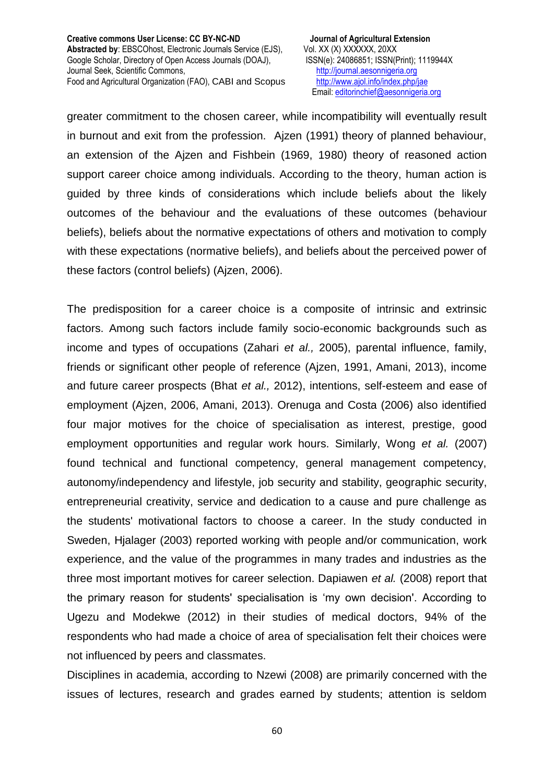greater commitment to the chosen career, while incompatibility will eventually result in burnout and exit from the profession. Ajzen (1991) theory of planned behaviour, an extension of the Ajzen and Fishbein (1969, 1980) theory of reasoned action support career choice among individuals. According to the theory, human action is guided by three kinds of considerations which include beliefs about the likely outcomes of the behaviour and the evaluations of these outcomes (behaviour beliefs), beliefs about the normative expectations of others and motivation to comply with these expectations (normative beliefs), and beliefs about the perceived power of these factors (control beliefs) (Ajzen, 2006).

The predisposition for a career choice is a composite of intrinsic and extrinsic factors. Among such factors include family socio-economic backgrounds such as income and types of occupations (Zahari *et al.,* 2005), parental influence, family, friends or significant other people of reference (Ajzen, 1991, Amani, 2013), income and future career prospects (Bhat *et al.,* 2012), intentions, self-esteem and ease of employment (Ajzen, 2006, Amani, 2013). Orenuga and Costa (2006) also identified four major motives for the choice of specialisation as interest, prestige, good employment opportunities and regular work hours. Similarly, Wong *et al.* (2007) found technical and functional competency, general management competency, autonomy/independency and lifestyle, job security and stability, geographic security, entrepreneurial creativity, service and dedication to a cause and pure challenge as the students' motivational factors to choose a career. In the study conducted in Sweden, Hjalager (2003) reported working with people and/or communication, work experience, and the value of the programmes in many trades and industries as the three most important motives for career selection. Dapiawen *et al.* (2008) report that the primary reason for students' specialisation is 'my own decision'. According to Ugezu and Modekwe (2012) in their studies of medical doctors, 94% of the respondents who had made a choice of area of specialisation felt their choices were not influenced by peers and classmates.

Disciplines in academia, according to Nzewi (2008) are primarily concerned with the issues of lectures, research and grades earned by students; attention is seldom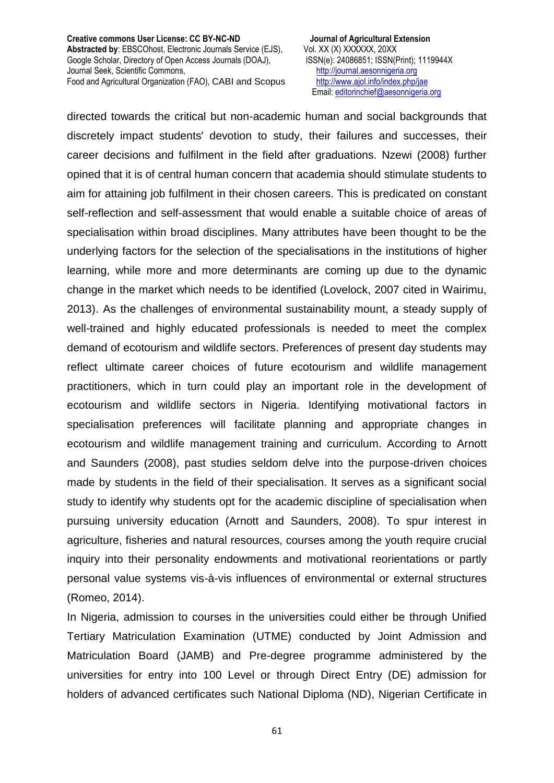Email[: editorinchief@aesonnigeria.org](mailto:editorinchief@aesonnigeria.org)

directed towards the critical but non-academic human and social backgrounds that discretely impact students' devotion to study, their failures and successes, their career decisions and fulfilment in the field after graduations. Nzewi (2008) further opined that it is of central human concern that academia should stimulate students to aim for attaining job fulfilment in their chosen careers. This is predicated on constant self-reflection and self-assessment that would enable a suitable choice of areas of specialisation within broad disciplines. Many attributes have been thought to be the underlying factors for the selection of the specialisations in the institutions of higher learning, while more and more determinants are coming up due to the dynamic change in the market which needs to be identified (Lovelock, 2007 cited in Wairimu, 2013). As the challenges of environmental sustainability mount, a steady supply of well-trained and highly educated professionals is needed to meet the complex demand of ecotourism and wildlife sectors. Preferences of present day students may reflect ultimate career choices of future ecotourism and wildlife management practitioners, which in turn could play an important role in the development of ecotourism and wildlife sectors in Nigeria. Identifying motivational factors in specialisation preferences will facilitate planning and appropriate changes in ecotourism and wildlife management training and curriculum. According to Arnott and Saunders (2008), past studies seldom delve into the purpose-driven choices made by students in the field of their specialisation. It serves as a significant social study to identify why students opt for the academic discipline of specialisation when pursuing university education (Arnott and Saunders, 2008). To spur interest in agriculture, fisheries and natural resources, courses among the youth require crucial inquiry into their personality endowments and motivational reorientations or partly personal value systems vis-à-vis influences of environmental or external structures (Romeo, 2014).

In Nigeria, admission to courses in the universities could either be through Unified Tertiary Matriculation Examination (UTME) conducted by Joint Admission and Matriculation Board (JAMB) and Pre-degree programme administered by the universities for entry into 100 Level or through Direct Entry (DE) admission for holders of advanced certificates such National Diploma (ND), Nigerian Certificate in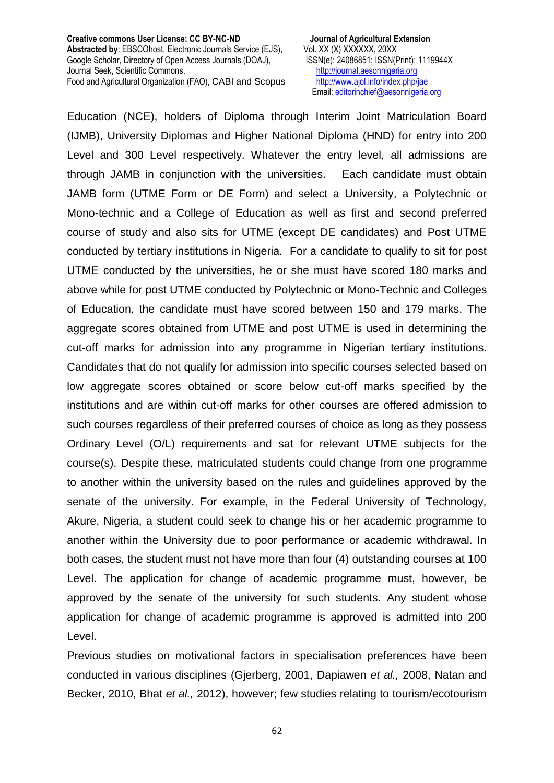Email[: editorinchief@aesonnigeria.org](mailto:editorinchief@aesonnigeria.org)

Education (NCE), holders of Diploma through Interim Joint Matriculation Board (IJMB), University Diplomas and Higher National Diploma (HND) for entry into 200 Level and 300 Level respectively. Whatever the entry level, all admissions are through JAMB in conjunction with the universities. Each candidate must obtain JAMB form (UTME Form or DE Form) and select a University, a Polytechnic or Mono-technic and a College of Education as well as first and second preferred course of study and also sits for UTME (except DE candidates) and Post UTME conducted by tertiary institutions in Nigeria. For a candidate to qualify to sit for post UTME conducted by the universities, he or she must have scored 180 marks and above while for post UTME conducted by Polytechnic or Mono-Technic and Colleges of Education, the candidate must have scored between 150 and 179 marks. The aggregate scores obtained from UTME and post UTME is used in determining the cut-off marks for admission into any programme in Nigerian tertiary institutions. Candidates that do not qualify for admission into specific courses selected based on low aggregate scores obtained or score below cut-off marks specified by the institutions and are within cut-off marks for other courses are offered admission to such courses regardless of their preferred courses of choice as long as they possess Ordinary Level (O/L) requirements and sat for relevant UTME subjects for the course(s). Despite these, matriculated students could change from one programme to another within the university based on the rules and guidelines approved by the senate of the university. For example, in the Federal University of Technology, Akure, Nigeria, a student could seek to change his or her academic programme to another within the University due to poor performance or academic withdrawal. In both cases, the student must not have more than four (4) outstanding courses at 100 Level. The application for change of academic programme must, however, be approved by the senate of the university for such students. Any student whose application for change of academic programme is approved is admitted into 200 Level.

Previous studies on motivational factors in specialisation preferences have been conducted in various disciplines (Gjerberg, 2001, Dapiawen *et al.,* 2008, Natan and Becker, 2010, Bhat *et al.,* 2012), however; few studies relating to tourism/ecotourism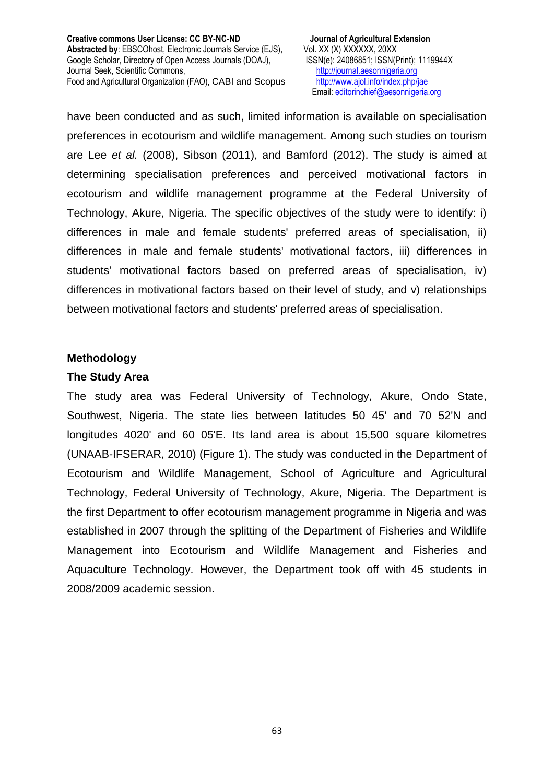have been conducted and as such, limited information is available on specialisation preferences in ecotourism and wildlife management. Among such studies on tourism are Lee *et al.* (2008), Sibson (2011), and Bamford (2012). The study is aimed at determining specialisation preferences and perceived motivational factors in ecotourism and wildlife management programme at the Federal University of Technology, Akure, Nigeria. The specific objectives of the study were to identify: i) differences in male and female students' preferred areas of specialisation, ii) differences in male and female students' motivational factors, iii) differences in students' motivational factors based on preferred areas of specialisation, iv) differences in motivational factors based on their level of study, and v) relationships between motivational factors and students' preferred areas of specialisation.

#### **Methodology**

#### **The Study Area**

The study area was Federal University of Technology, Akure, Ondo State, Southwest, Nigeria. The state lies between latitudes 50 45' and 70 52'N and longitudes 4020' and 60 05'E. Its land area is about 15,500 square kilometres (UNAAB-IFSERAR, 2010) (Figure 1). The study was conducted in the Department of Ecotourism and Wildlife Management, School of Agriculture and Agricultural Technology, Federal University of Technology, Akure, Nigeria. The Department is the first Department to offer ecotourism management programme in Nigeria and was established in 2007 through the splitting of the Department of Fisheries and Wildlife Management into Ecotourism and Wildlife Management and Fisheries and Aquaculture Technology. However, the Department took off with 45 students in 2008/2009 academic session.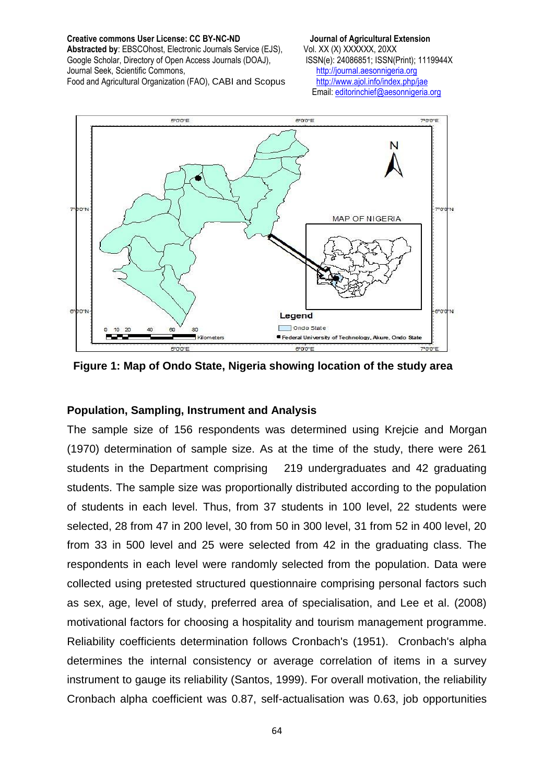**Creative commons User License: CC BY-NC-ND Journal of Agricultural Extension** 

**Abstracted by: EBSCOhost, Electronic Journals Service (EJS), Vol. XX (X) XXXXXX, 20XX** Google Scholar, Directory of Open Access Journals (DOAJ), ISSN(e): 24086851; ISSN(Print); 1119944X Journal Seek, Scientific Commons, [http://journal.aesonnigeria.org](http://journal.aesonnigeria.org/)

Food and Agricultural Organization (FAO), CABI and Scopus <http://www.ajol.info/index.php/jae>

Email[: editorinchief@aesonnigeria.org](mailto:editorinchief@aesonnigeria.org)



**Figure 1: Map of Ondo State, Nigeria showing location of the study area**

## **Population, Sampling, Instrument and Analysis**

The sample size of 156 respondents was determined using Krejcie and Morgan (1970) determination of sample size. As at the time of the study, there were 261 students in the Department comprising 219 undergraduates and 42 graduating students. The sample size was proportionally distributed according to the population of students in each level. Thus, from 37 students in 100 level, 22 students were selected, 28 from 47 in 200 level, 30 from 50 in 300 level, 31 from 52 in 400 level, 20 from 33 in 500 level and 25 were selected from 42 in the graduating class. The respondents in each level were randomly selected from the population. Data were collected using pretested structured questionnaire comprising personal factors such as sex, age, level of study, preferred area of specialisation, and Lee et al. (2008) motivational factors for choosing a hospitality and tourism management programme. Reliability coefficients determination follows Cronbach's (1951). Cronbach's alpha determines the internal consistency or average correlation of items in a survey instrument to gauge its reliability (Santos, 1999). For overall motivation, the reliability Cronbach alpha coefficient was 0.87, self-actualisation was 0.63, job opportunities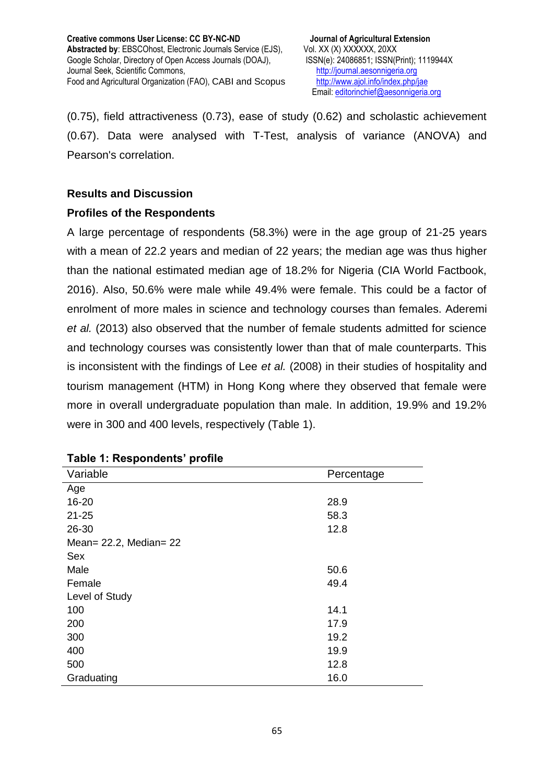(0.75), field attractiveness (0.73), ease of study (0.62) and scholastic achievement (0.67). Data were analysed with T-Test, analysis of variance (ANOVA) and Pearson's correlation.

## **Results and Discussion**

## **Profiles of the Respondents**

A large percentage of respondents (58.3%) were in the age group of 21-25 years with a mean of 22.2 years and median of 22 years; the median age was thus higher than the national estimated median age of 18.2% for Nigeria (CIA World Factbook, 2016). Also, 50.6% were male while 49.4% were female. This could be a factor of enrolment of more males in science and technology courses than females. Aderemi *et al.* (2013) also observed that the number of female students admitted for science and technology courses was consistently lower than that of male counterparts. This is inconsistent with the findings of Lee *et al.* (2008) in their studies of hospitality and tourism management (HTM) in Hong Kong where they observed that female were more in overall undergraduate population than male. In addition, 19.9% and 19.2% were in 300 and 400 levels, respectively (Table 1).

| Variable                    | Percentage |
|-----------------------------|------------|
| Age                         |            |
| 16-20                       | 28.9       |
| $21 - 25$                   | 58.3       |
| 26-30                       | 12.8       |
| Mean= $22.2$ , Median= $22$ |            |
| Sex                         |            |
| Male                        | 50.6       |
| Female                      | 49.4       |
| Level of Study              |            |
| 100                         | 14.1       |
| 200                         | 17.9       |
| 300                         | 19.2       |
| 400                         | 19.9       |
| 500                         | 12.8       |
| Graduating                  | 16.0       |

### **Table 1: Respondents' profile**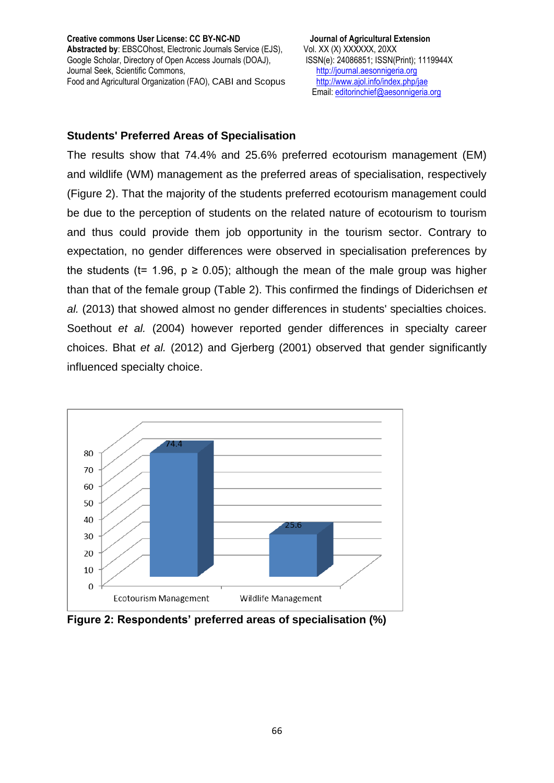## **Students' Preferred Areas of Specialisation**

The results show that 74.4% and 25.6% preferred ecotourism management (EM) and wildlife (WM) management as the preferred areas of specialisation, respectively (Figure 2). That the majority of the students preferred ecotourism management could be due to the perception of students on the related nature of ecotourism to tourism and thus could provide them job opportunity in the tourism sector. Contrary to expectation, no gender differences were observed in specialisation preferences by the students (t= 1.96,  $p \ge 0.05$ ); although the mean of the male group was higher than that of the female group (Table 2). This confirmed the findings of Diderichsen *et al.* (2013) that showed almost no gender differences in students' specialties choices. Soethout *et al.* (2004) however reported gender differences in specialty career choices. Bhat *et al.* (2012) and Gjerberg (2001) observed that gender significantly influenced specialty choice.



**Figure 2: Respondents' preferred areas of specialisation (%)**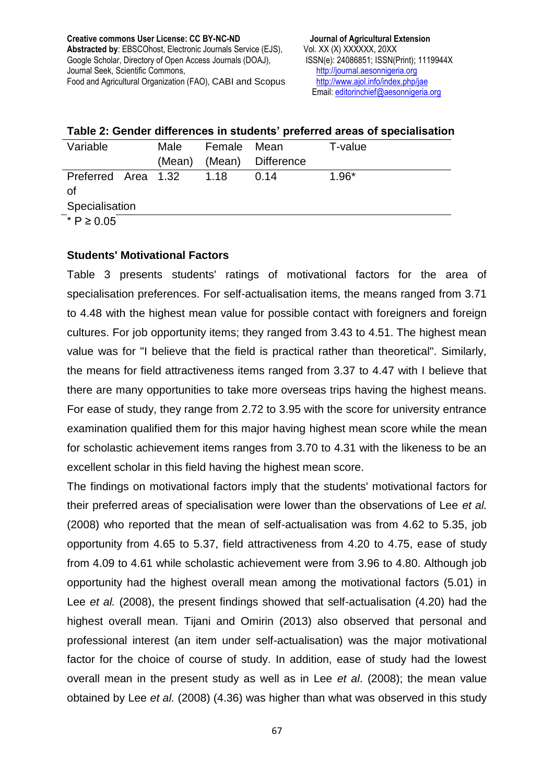Email[: editorinchief@aesonnigeria.org](mailto:editorinchief@aesonnigeria.org)

| Variable            | Male   | Female Mean |                   | T-value |
|---------------------|--------|-------------|-------------------|---------|
|                     | (Mean) |             | (Mean) Difference |         |
| Preferred Area 1.32 |        | $-1.18$     | 0.14              | $1.96*$ |
| Ωf                  |        |             |                   |         |
| Specialisation      |        |             |                   |         |
| $*$ P ≥ 0.05        |        |             |                   |         |

#### **Table 2: Gender differences in students' preferred areas of specialisation**

**Students' Motivational Factors**

Table 3 presents students' ratings of motivational factors for the area of specialisation preferences. For self-actualisation items, the means ranged from 3.71 to 4.48 with the highest mean value for possible contact with foreigners and foreign cultures. For job opportunity items; they ranged from 3.43 to 4.51. The highest mean value was for "I believe that the field is practical rather than theoretical". Similarly, the means for field attractiveness items ranged from 3.37 to 4.47 with I believe that there are many opportunities to take more overseas trips having the highest means. For ease of study, they range from 2.72 to 3.95 with the score for university entrance examination qualified them for this major having highest mean score while the mean for scholastic achievement items ranges from 3.70 to 4.31 with the likeness to be an excellent scholar in this field having the highest mean score.

The findings on motivational factors imply that the students' motivational factors for their preferred areas of specialisation were lower than the observations of Lee *et al.* (2008) who reported that the mean of self-actualisation was from 4.62 to 5.35, job opportunity from 4.65 to 5.37, field attractiveness from 4.20 to 4.75, ease of study from 4.09 to 4.61 while scholastic achievement were from 3.96 to 4.80. Although job opportunity had the highest overall mean among the motivational factors (5.01) in Lee *et al.* (2008), the present findings showed that self-actualisation (4.20) had the highest overall mean. Tijani and Omirin (2013) also observed that personal and professional interest (an item under self-actualisation) was the major motivational factor for the choice of course of study. In addition, ease of study had the lowest overall mean in the present study as well as in Lee *et al*. (2008); the mean value obtained by Lee *et al.* (2008) (4.36) was higher than what was observed in this study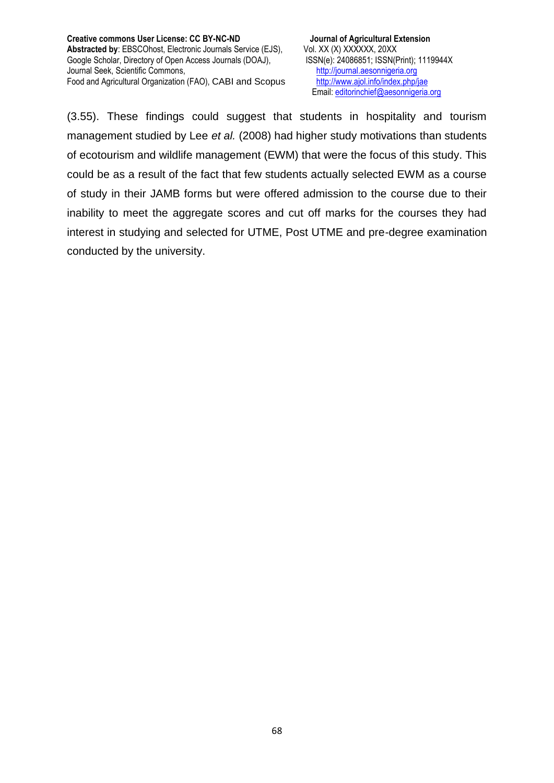(3.55). These findings could suggest that students in hospitality and tourism management studied by Lee *et al.* (2008) had higher study motivations than students of ecotourism and wildlife management (EWM) that were the focus of this study. This could be as a result of the fact that few students actually selected EWM as a course of study in their JAMB forms but were offered admission to the course due to their inability to meet the aggregate scores and cut off marks for the courses they had interest in studying and selected for UTME, Post UTME and pre-degree examination conducted by the university.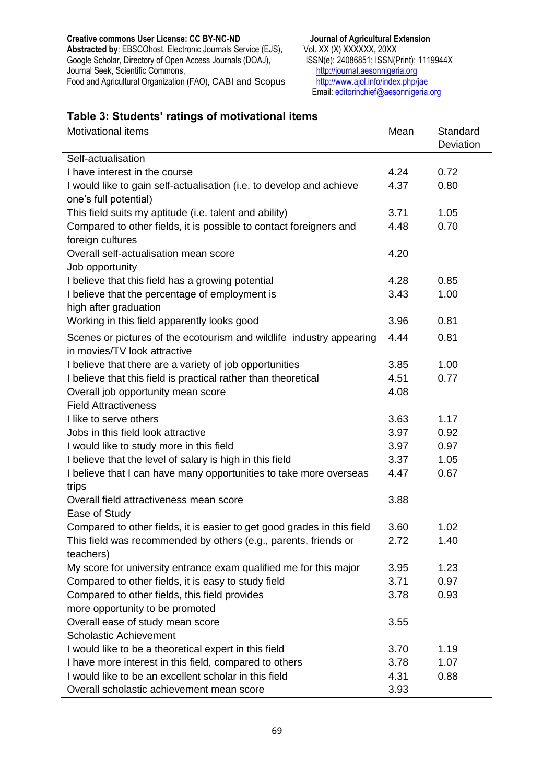#### **Creative commons User License: CC BY-NC-ND Journal of Agricultural Extension**  Abstracted by: EBSCOhost, Electronic Journals Service (EJS), Vol. XX (X) XXXXXX, 20XX<br>Google Scholar, Directory of Open Access Journals (DOAJ), ISSN(e): 24086851; ISSN(Print); 1119944X Google Scholar, Directory of Open Access Journals (DOAJ), ISSN(e): 24086851; ISSN(Print); Journal Seek, Scientific Commons, http://journal.aesonnigeria.org Journal Seek, Scientific Commons,<br>
Food and Agricultural Organization (FAO), CABI and Scopus<br>
http://www.ajol.info/index.php/jae Food and Agricultural Organization (FAO), CABI and Scopus

Email[: editorinchief@aesonnigeria.org](mailto:editorinchief@aesonnigeria.org)

## **Table 3: Students' ratings of motivational items**

| <b>Motivational items</b>                                               | Mean | Standard  |
|-------------------------------------------------------------------------|------|-----------|
|                                                                         |      | Deviation |
| Self-actualisation                                                      |      |           |
| I have interest in the course                                           | 4.24 | 0.72      |
| I would like to gain self-actualisation (i.e. to develop and achieve    | 4.37 | 0.80      |
| one's full potential)                                                   |      |           |
| This field suits my aptitude (i.e. talent and ability)                  | 3.71 | 1.05      |
| Compared to other fields, it is possible to contact foreigners and      | 4.48 | 0.70      |
| foreign cultures                                                        |      |           |
| Overall self-actualisation mean score                                   | 4.20 |           |
| Job opportunity                                                         |      |           |
| I believe that this field has a growing potential                       | 4.28 | 0.85      |
| I believe that the percentage of employment is                          | 3.43 | 1.00      |
| high after graduation                                                   |      |           |
| Working in this field apparently looks good                             | 3.96 | 0.81      |
| Scenes or pictures of the ecotourism and wildlife industry appearing    | 4.44 | 0.81      |
| in movies/TV look attractive                                            |      |           |
| I believe that there are a variety of job opportunities                 | 3.85 | 1.00      |
| I believe that this field is practical rather than theoretical          | 4.51 | 0.77      |
| Overall job opportunity mean score                                      | 4.08 |           |
| <b>Field Attractiveness</b>                                             |      |           |
| I like to serve others                                                  | 3.63 | 1.17      |
| Jobs in this field look attractive                                      | 3.97 | 0.92      |
| I would like to study more in this field                                | 3.97 | 0.97      |
| I believe that the level of salary is high in this field                | 3.37 | 1.05      |
| I believe that I can have many opportunities to take more overseas      | 4.47 | 0.67      |
| trips                                                                   |      |           |
| Overall field attractiveness mean score                                 | 3.88 |           |
| Ease of Study                                                           |      |           |
| Compared to other fields, it is easier to get good grades in this field | 3.60 | 1.02      |
| This field was recommended by others (e.g., parents, friends or         | 2.72 | 1.40      |
| teachers)                                                               |      |           |
| My score for university entrance exam qualified me for this major       | 3.95 | 1.23      |
| Compared to other fields, it is easy to study field                     | 3.71 | 0.97      |
| Compared to other fields, this field provides                           | 3.78 | 0.93      |
| more opportunity to be promoted                                         |      |           |
| Overall ease of study mean score                                        | 3.55 |           |
| <b>Scholastic Achievement</b>                                           |      |           |
| I would like to be a theoretical expert in this field                   | 3.70 | 1.19      |
| I have more interest in this field, compared to others                  | 3.78 | 1.07      |
| I would like to be an excellent scholar in this field                   | 4.31 | 0.88      |
| Overall scholastic achievement mean score                               | 3.93 |           |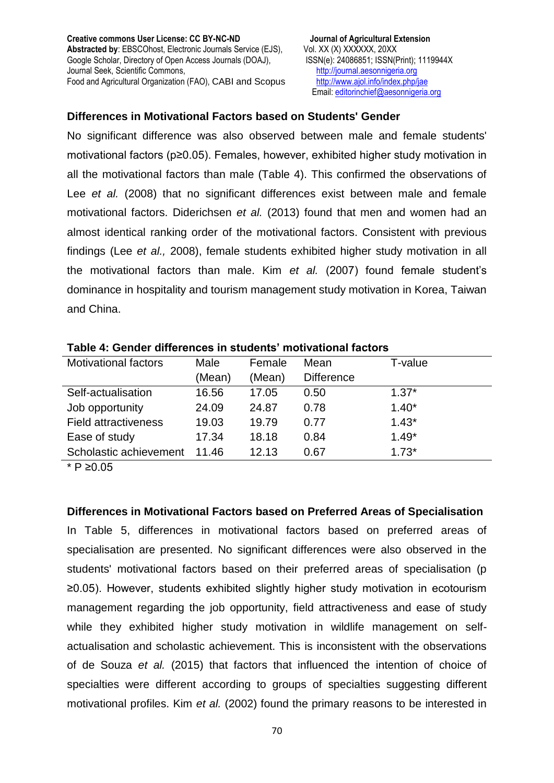Email[: editorinchief@aesonnigeria.org](mailto:editorinchief@aesonnigeria.org)

### **Differences in Motivational Factors based on Students' Gender**

No significant difference was also observed between male and female students' motivational factors (p≥0.05). Females, however, exhibited higher study motivation in all the motivational factors than male (Table 4). This confirmed the observations of Lee *et al.* (2008) that no significant differences exist between male and female motivational factors. Diderichsen *et al.* (2013) found that men and women had an almost identical ranking order of the motivational factors. Consistent with previous findings (Lee *et al.,* 2008), female students exhibited higher study motivation in all the motivational factors than male. Kim *et al.* (2007) found female student's dominance in hospitality and tourism management study motivation in Korea, Taiwan and China.

| <b>Motivational factors</b> | Male   | Female | Mean              | T-value |
|-----------------------------|--------|--------|-------------------|---------|
|                             | (Mean) | (Mean) | <b>Difference</b> |         |
| Self-actualisation          | 16.56  | 17.05  | 0.50              | $1.37*$ |
| Job opportunity             | 24.09  | 24.87  | 0.78              | $1.40*$ |
| <b>Field attractiveness</b> | 19.03  | 19.79  | 0.77              | $1.43*$ |
| Ease of study               | 17.34  | 18.18  | 0.84              | $1.49*$ |
| Scholastic achievement      | 11.46  | 12.13  | 0.67              | $1.73*$ |

#### **Table 4: Gender differences in students' motivational factors**

 $\overline{\phantom{a}}$   $\overline{\phantom{a}}$  P ≥0.05

**Differences in Motivational Factors based on Preferred Areas of Specialisation**

In Table 5, differences in motivational factors based on preferred areas of specialisation are presented. No significant differences were also observed in the students' motivational factors based on their preferred areas of specialisation (p ≥0.05). However, students exhibited slightly higher study motivation in ecotourism management regarding the job opportunity, field attractiveness and ease of study while they exhibited higher study motivation in wildlife management on selfactualisation and scholastic achievement. This is inconsistent with the observations of de Souza *et al.* (2015) that factors that influenced the intention of choice of specialties were different according to groups of specialties suggesting different motivational profiles. Kim *et al.* (2002) found the primary reasons to be interested in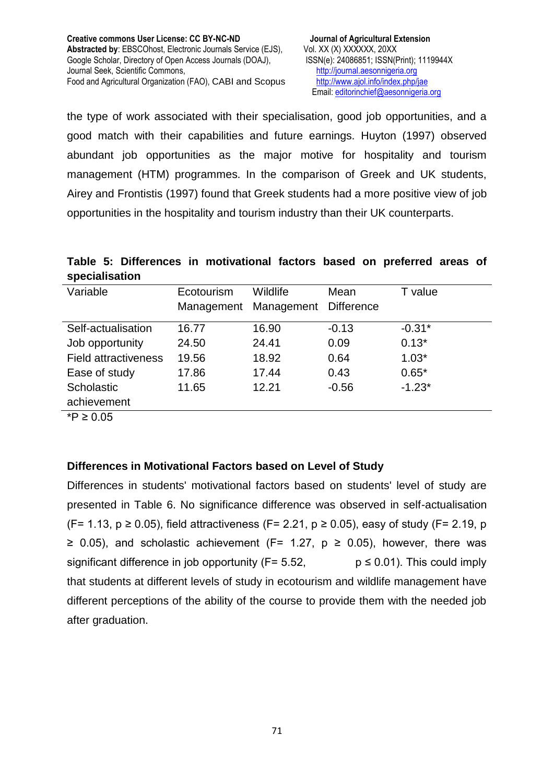the type of work associated with their specialisation, good job opportunities, and a good match with their capabilities and future earnings. Huyton (1997) observed abundant job opportunities as the major motive for hospitality and tourism management (HTM) programmes. In the comparison of Greek and UK students, Airey and Frontistis (1997) found that Greek students had a more positive view of job opportunities in the hospitality and tourism industry than their UK counterparts.

**Table 5: Differences in motivational factors based on preferred areas of specialisation**

| Variable                    | Ecotourism | Wildlife   | Mean              | T value  |
|-----------------------------|------------|------------|-------------------|----------|
|                             | Management | Management | <b>Difference</b> |          |
|                             |            |            |                   |          |
| Self-actualisation          | 16.77      | 16.90      | $-0.13$           | $-0.31*$ |
| Job opportunity             | 24.50      | 24.41      | 0.09              | $0.13*$  |
| <b>Field attractiveness</b> | 19.56      | 18.92      | 0.64              | $1.03*$  |
| Ease of study               | 17.86      | 17.44      | 0.43              | $0.65*$  |
| Scholastic                  | 11.65      | 12.21      | $-0.56$           | $-1.23*$ |
| achievement                 |            |            |                   |          |
|                             |            |            |                   |          |

 $\overline{\text{P}}$  ≥ 0.05

## **Differences in Motivational Factors based on Level of Study**

Differences in students' motivational factors based on students' level of study are presented in Table 6. No significance difference was observed in self-actualisation (F= 1.13,  $p \ge 0.05$ ), field attractiveness (F= 2.21,  $p \ge 0.05$ ), easy of study (F= 2.19, p ≥ 0.05), and scholastic achievement (F= 1.27,  $p \ge 0.05$ ), however, there was significant difference in job opportunity ( $F= 5.52$ ,  $p \le 0.01$ ). This could imply that students at different levels of study in ecotourism and wildlife management have different perceptions of the ability of the course to provide them with the needed job after graduation.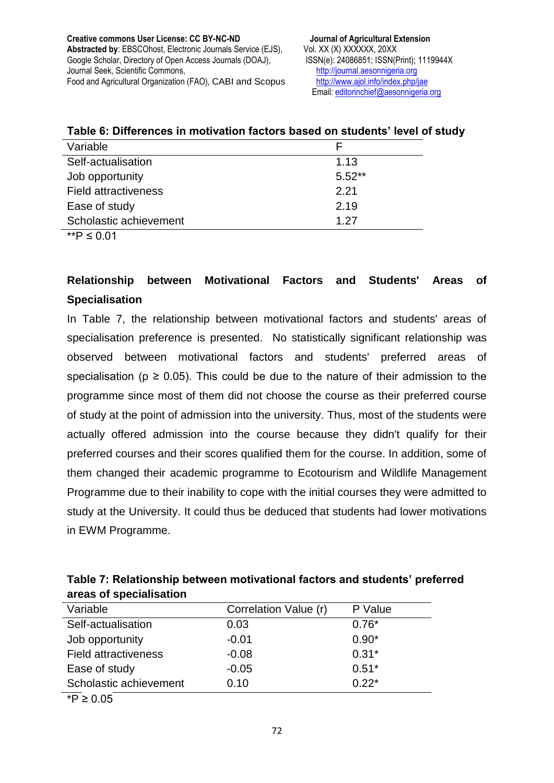| Table 6: Differences in motivation factors based on students' level of study |  |  |  |  |
|------------------------------------------------------------------------------|--|--|--|--|
|------------------------------------------------------------------------------|--|--|--|--|

| Variable                    |          |
|-----------------------------|----------|
| Self-actualisation          | 1.13     |
| Job opportunity             | $5.52**$ |
| <b>Field attractiveness</b> | 2.21     |
| Ease of study               | 2.19     |
| Scholastic achievement      | 1 27     |

 $\frac{1}{\sqrt{1 + P}}$  ≤ 0.01

# **Relationship between Motivational Factors and Students' Areas of Specialisation**

In Table 7, the relationship between motivational factors and students' areas of specialisation preference is presented. No statistically significant relationship was observed between motivational factors and students' preferred areas of specialisation ( $p \ge 0.05$ ). This could be due to the nature of their admission to the programme since most of them did not choose the course as their preferred course of study at the point of admission into the university. Thus, most of the students were actually offered admission into the course because they didn't qualify for their preferred courses and their scores qualified them for the course. In addition, some of them changed their academic programme to Ecotourism and Wildlife Management Programme due to their inability to cope with the initial courses they were admitted to study at the University. It could thus be deduced that students had lower motivations in EWM Programme.

| Table 7: Relationship between motivational factors and students' preferred |  |
|----------------------------------------------------------------------------|--|
| areas of specialisation                                                    |  |

| Variable                    | Correlation Value (r) | P Value |
|-----------------------------|-----------------------|---------|
| Self-actualisation          | 0.03                  | $0.76*$ |
| Job opportunity             | $-0.01$               | $0.90*$ |
| <b>Field attractiveness</b> | $-0.08$               | $0.31*$ |
| Ease of study               | $-0.05$               | $0.51*$ |
| Scholastic achievement      | 0.10                  | $0.22*$ |
| <i>*</i> P ≥ 0.05           |                       |         |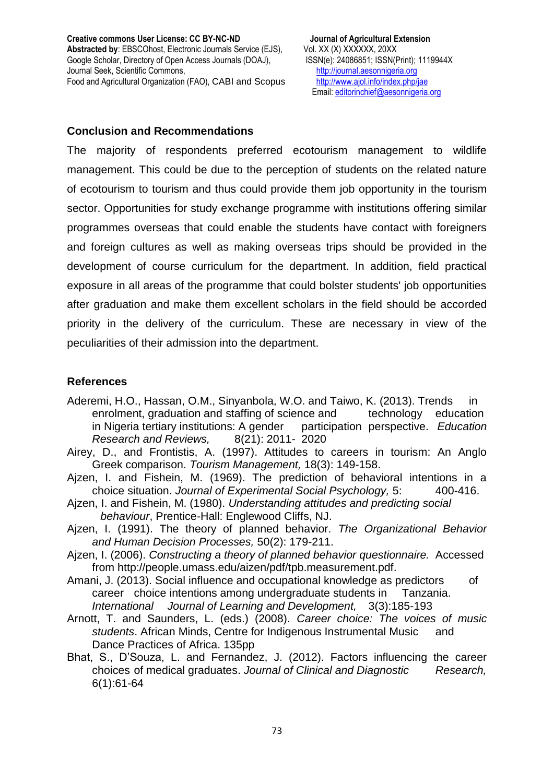#### **Conclusion and Recommendations**

The majority of respondents preferred ecotourism management to wildlife management. This could be due to the perception of students on the related nature of ecotourism to tourism and thus could provide them job opportunity in the tourism sector. Opportunities for study exchange programme with institutions offering similar programmes overseas that could enable the students have contact with foreigners and foreign cultures as well as making overseas trips should be provided in the development of course curriculum for the department. In addition, field practical exposure in all areas of the programme that could bolster students' job opportunities after graduation and make them excellent scholars in the field should be accorded priority in the delivery of the curriculum. These are necessary in view of the peculiarities of their admission into the department.

### **References**

- Aderemi, H.O., Hassan, O.M., Sinyanbola, W.O. and Taiwo, K. (2013). Trends in enrolment, graduation and staffing of science and technology education in Nigeria tertiary institutions: A gender participation perspective. *Education Research and Reviews,* 8(21): 2011- 2020
- Airey, D., and Frontistis, A. (1997). Attitudes to careers in tourism: An Anglo Greek comparison. *Tourism Management,* 18(3): 149-158.
- Ajzen, I. and Fishein, M. (1969). The prediction of behavioral intentions in a choice situation. *Journal of Experimental Social Psychology,* 5: 400-416.
- Ajzen, I. and Fishein, M. (1980). *Understanding attitudes and predicting social behaviour*, Prentice-Hall: Englewood Cliffs, NJ.
- Ajzen, I. (1991). The theory of planned behavior. *The Organizational Behavior and Human Decision Processes,* 50(2): 179-211.
- Ajzen, I. (2006). *Constructing a theory of planned behavior questionnaire.* Accessed from http://people.umass.edu/aizen/pdf/tpb.measurement.pdf.
- Amani, J. (2013). Social influence and occupational knowledge as predictors of career choice intentions among undergraduate students in Tanzania. *International Journal of Learning and Development,* 3(3):185-193
- Arnott, T. and Saunders, L. (eds.) (2008). *Career choice: The voices of music students*. African Minds, Centre for Indigenous Instrumental Music and Dance Practices of Africa. 135pp
- Bhat, S., D'Souza, L. and Fernandez, J. (2012). Factors influencing the career choices of medical graduates. *Journal of Clinical and Diagnostic Research,* 6(1):61-64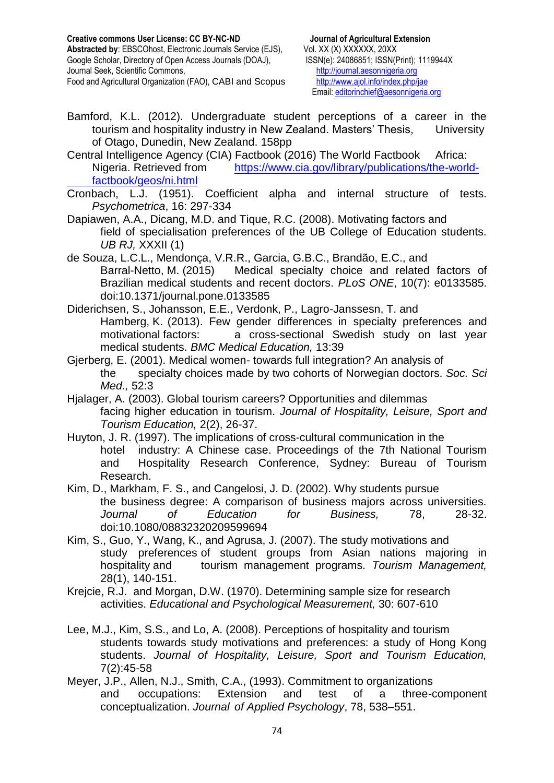- Bamford, K.L. (2012). Undergraduate student perceptions of a career in the tourism and hospitality industry in New Zealand. Masters' Thesis, University of Otago, Dunedin, New Zealand. 158pp
- Central Intelligence Agency (CIA) Factbook (2016) The World Factbook Africa: Nigeria. Retrieved from [https://www.cia.gov/library/publications/the-world](https://www.cia.gov/library/publications/the-world-%09factbook/geos/ni.html)[factbook/geos/ni.html](https://www.cia.gov/library/publications/the-world-%09factbook/geos/ni.html)
- Cronbach, L.J. (1951). Coefficient alpha and internal structure of tests. *Psychometrica*, 16: 297-334
- Dapiawen, A.A., Dicang, M.D. and Tique, R.C. (2008). Motivating factors and field of specialisation preferences of the UB College of Education students. *UB RJ,* XXXII (1)
- de Souza, L.C.L., Mendonça, V.R.R., Garcia, G.B.C., Brandão, E.C., and Barral-Netto, M. (2015) Medical specialty choice and related factors of Brazilian medical students and recent doctors. *PLoS ONE*, 10(7): e0133585. doi:10.1371/journal.pone.0133585
- Diderichsen, S., Johansson, E.E., Verdonk, P., Lagro-Janssesn, T. and Hamberg, K. (2013). Few gender differences in specialty preferences and motivational factors: a cross-sectional Swedish study on last year medical students. *BMC Medical Education,* 13:39
- Gjerberg, E. (2001). Medical women- towards full integration? An analysis of the specialty choices made by two cohorts of Norwegian doctors. *Soc. Sci Med.,* 52:3
- Hjalager, A. (2003). Global tourism careers? Opportunities and dilemmas facing higher education in tourism. *Journal of Hospitality, Leisure, Sport and Tourism Education,* 2(2), 26-37.
- Huyton, J. R. (1997). The implications of cross-cultural communication in the hotel industry: A Chinese case. Proceedings of the 7th National Tourism and Hospitality Research Conference, Sydney: Bureau of Tourism Research.
- Kim, D., Markham, F. S., and Cangelosi, J. D. (2002). Why students pursue the business degree: A comparison of business majors across universities. *Journal of Education for Business,* 78, 28-32. doi:10.1080/08832320209599694
- Kim, S., Guo, Y., Wang, K., and Agrusa, J. (2007). The study motivations and study preferences of student groups from Asian nations majoring in hospitality and tourism management programs. *Tourism Management,* 28(1), 140-151.
- Krejcie, R.J. and Morgan, D.W. (1970). Determining sample size for research activities. *Educational and Psychological Measurement,* 30: 607-610
- Lee, M.J., Kim, S.S., and Lo, A. (2008). Perceptions of hospitality and tourism students towards study motivations and preferences: a study of Hong Kong students. *Journal of Hospitality, Leisure, Sport and Tourism Education,* 7(2):45-58
- Meyer, J.P., Allen, N.J., Smith, C.A., (1993). Commitment to organizations and occupations: Extension and test of a three-component conceptualization. *Journal of Applied Psychology*, 78, 538–551.